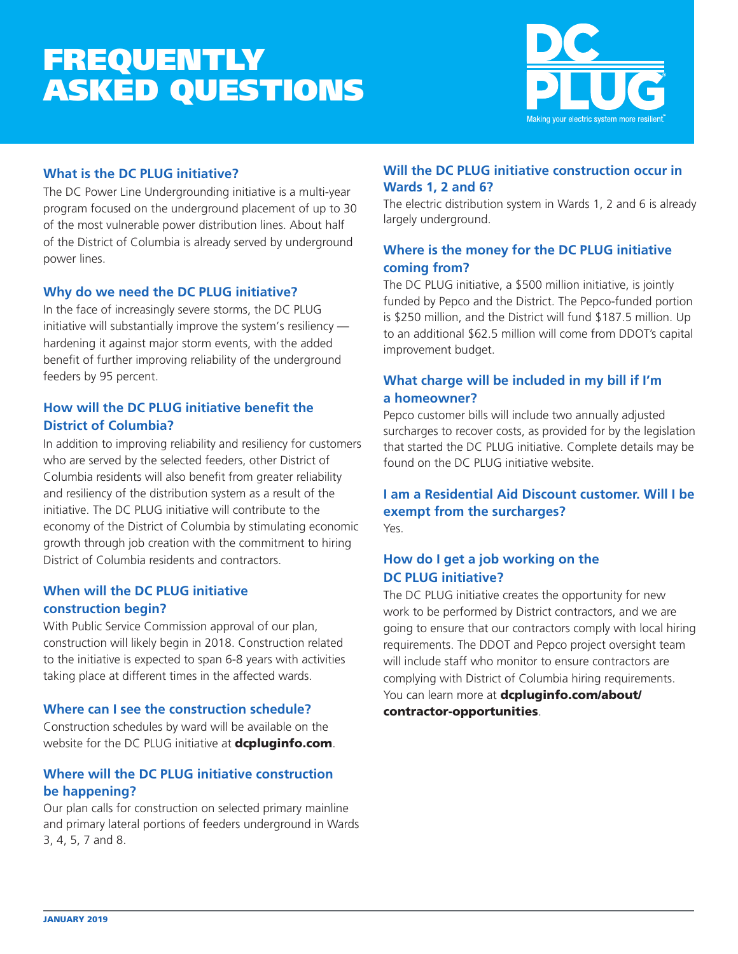# FREQUENTLY ASKED QUESTIONS



## **What is the DC PLUG initiative?**

The DC Power Line Undergrounding initiative is a multi-year program focused on the underground placement of up to 30 of the most vulnerable power distribution lines. About half of the District of Columbia is already served by underground power lines.

# **Why do we need the DC PLUG initiative?**

In the face of increasingly severe storms, the DC PLUG initiative will substantially improve the system's resiliency hardening it against major storm events, with the added benefit of further improving reliability of the underground feeders by 95 percent.

# **How will the DC PLUG initiative benefit the District of Columbia?**

In addition to improving reliability and resiliency for customers who are served by the selected feeders, other District of Columbia residents will also benefit from greater reliability and resiliency of the distribution system as a result of the initiative. The DC PLUG initiative will contribute to the economy of the District of Columbia by stimulating economic growth through job creation with the commitment to hiring District of Columbia residents and contractors.

# **When will the DC PLUG initiative construction begin?**

With Public Service Commission approval of our plan, construction will likely begin in 2018. Construction related to the initiative is expected to span 6-8 years with activities taking place at different times in the affected wards.

## **Where can I see the construction schedule?**

Construction schedules by ward will be available on the website for the DC PLUG initiative at **dcpluginfo.com**.

# **Where will the DC PLUG initiative construction be happening?**

Our plan calls for construction on selected primary mainline and primary lateral portions of feeders underground in Wards 3, 4, 5, 7 and 8.

# **Will the DC PLUG initiative construction occur in Wards 1, 2 and 6?**

The electric distribution system in Wards 1, 2 and 6 is already largely underground.

# **Where is the money for the DC PLUG initiative coming from?**

The DC PLUG initiative, a \$500 million initiative, is jointly funded by Pepco and the District. The Pepco-funded portion is \$250 million, and the District will fund \$187.5 million. Up to an additional \$62.5 million will come from DDOT's capital improvement budget.

# **What charge will be included in my bill if I'm a homeowner?**

Pepco customer bills will include two annually adjusted surcharges to recover costs, as provided for by the legislation that started the DC PLUG initiative. Complete details may be found on the DC PLUG initiative website.

#### **I am a Residential Aid Discount customer. Will I be exempt from the surcharges?**  Yes.

# **How do I get a job working on the DC PLUG initiative?**

The DC PLUG initiative creates the opportunity for new work to be performed by District contractors, and we are going to ensure that our contractors comply with local hiring requirements. The DDOT and Pepco project oversight team will include staff who monitor to ensure contractors are complying with District of Columbia hiring requirements. You can learn more at dcpluginfo.com/about/ contractor-opportunities.